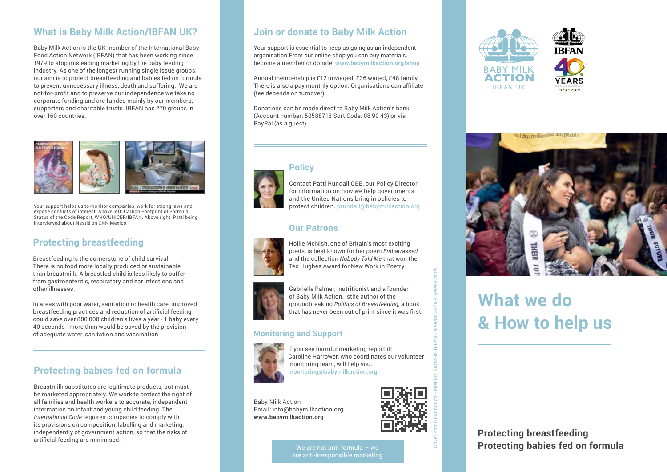# **What is Baby Milk Action/IBFAN UK?**

Baby Milk Action is the UK member of the International Baby Food Action Network (IBFAN) that has been working since 1979 to stop misleading marketing by the baby feeding industry. As one of the longest running single issue groups, our aim is to protect breastfeeding and babies fed on formula to prevent unnecessary illness, death and suffering. We are not-for-profit and to preserve our independence we take no corporate funding and are funded mainly by our members, supporters and charitable trusts. IBFAN has 270 groups in over 160 countries.



Your support helps us to monitor companies, work for strong laws and expose conflicts of interest. Above left: Carbon Footprint of Formula, Status of the Code Report, WHO/UNICEF/IBFAN. Above right: Patti being interviewed about Nestlé on CNN Mexico.

# **Protecting breastfeeding**

Breastfeeding is the cornerstone of child survival. There is no food more locally produced or sustainable than breastmilk. A breastfed child is less likely to suffer from gastroenteritis, respiratory and ear infections and other illnesses.

In areas with poor water, sanitation or health care, improved breastfeeding practices and reduction of artificial feeding could save over 800,000 children's lives a year - 1 baby every 40 seconds - more than would be saved by the provision of adequate water, sanitation and vaccination.

# **Protecting babies fed on formula**

Breastmilk substitutes are legitimate products, but must be marketed appropriately. We work to protect the right of all families and health workers to accurate, independent information on infant and young child feeding. The *International Code* requires companies to comply with its provisions on composition, labelling and marketing, independently of government action, so that the risks of artificial feeding are minimised.

## **Join or donate to Baby Milk Action**

Your support is essential to keep us going as an independent organisation.From our online shop you can buy materials, become a member or donate: **www.babymilkaction.org/shop**

Annual membership is £12 unwaged, £36 waged, £48 family. There is also a pay monthly option. Organisations can affiliate (fee depends on turnover).

Donations can be made direct to Baby Milk Action's bank (Account number: 50588718 Sort Code: 08 90 43) or via PayPal (as a guest).



# **Policy**

Contact Patti Rundall OBE, our Policy Director for information on how we help governments and the United Nations bring in policies to protect children. prundall@babymilkaction.org

#### **Our Patrons**



Hollie McNish, one of Britain's most exciting poets, is best known for her poem *Embarrassed* and the collection *Nobody Told Me* that won the Ted Hughes Award for New Work in Poetry.



Gabrielle Palmer, nutritionist and a founder of Baby Milk Action. isthe author of the groundbreaking *Politics of Breastfeeding*, a book that has never been out of print since it was first

#### **Monitoring and Support**



If you see harmful marketing report it! Caroline Harrower, who coordinates our volunteer monitoring team, will help you. monitoring@babymilkaction.org

Baby Milk Action Email: info@babymilkaction.org **www.babymilkaction.org**



.Cover Photo Extinction Rebellion Nurse-in IBFAN Calendar 2020 *© Helena Smith*

We are not anti-formula - we are anti-irresponsible marketing







# **What we do & How to help us**

**Protecting breastfeeding Protecting babies fed on formula**